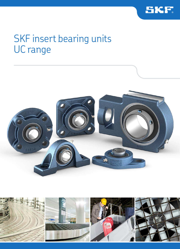

## SKF insert bearing units UC range



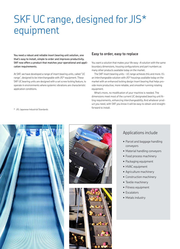# SKF UC range, designed for JIS\* equipment

**You need a robust and reliable insert bearing unit solution, one that's easy to install, simple to order and improves productivity. SKF now offers a product that matches your operational and application requirements.** 

At SKF, we have developed a range of insert bearing units, called "UC range", designed to be interchangeable with JIS\* equipment. These SKF UC bearing units are designed with a set screw locking feature, to operate in environments where systemic vibrations are characteristic application conditions.

#### **Easy to order, easy to replace**

You want a solution that makes your life easy –A solution with the same boundary dimensions, housing conigurations and part numbers as many other products available today on the market.

The SKF insert bearing units - UC range achieves this and more. It's an interchangeable solution with JIS\* housings available today on the market with an enhanced locking design insert bearing that helps provide more productive, more reliable, and smoother running rotating equipment.

What's more, no modification of your machine is needed. The dimensions meet most of the current UC designated bearing unit itting requirements, enhancing interchangeability. And whatever product you need, with SKF you know it will be easy to obtain and straightforward to install.

\* JIS: Japanese Industrial Standards







### Applications include

- Parcel and baggage handling conveyors
- Material handling conveyors
- Food process machinery
- Packaging equipment
- HVAC equipment
- Agriculture machinery
- Construction machinery
- Textile machinery
- Fitness equipment
- Escalators
- Metals industry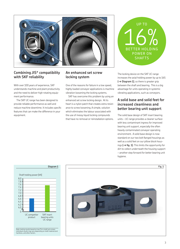

#### **Combining JIS\* compatibility with SKF reliability**

With over 100 years of experience, SKF understands machine and plant productivity and the need to deliver high rotating equipment performance.

The SKF UC range has been designed to provide reliable performance as well and reduce machine downtime. It includes specific features that can make the difference in your equipment.



#### **An enhanced set screw locking system**

One of the reasons for failure in a low speed, highly loaded conveyor applications is machine vibration loosening the locking systems.

SKF has overcome this problem by using an enhanced set screw locking design. At its heart is a nylon patch that creates extra resistance to screw loosening. A simple, solution which eliminates the labour associated with the use of messy liquid locking compounds that have no removal or reinstallation options.

UP TO 16% BETTER HOLDING POWER ON **SHAFTS** 

The locking device on the SKF UC range increases the axial holding power by up to 16% **(→ Diagram 1)**, so there is greater grip between the shaft and bearing. This is a big advantage for units operating in systemic vibrating applications, such as conveyors.

#### **A solid base and solid feet for increased cleanliness and better bearing unit support**

The solid base design of SKF insert bearing units – UC range provides a cleaner surface with less contaminant ingress for improved bearing unit support, especially the often heavily contaminated conveyor operating environment. A solid base design is now standard on our two bolt flanged housings as well as a solid feet on our pillow block housings  $(\rightarrow$  fig. 1). This limits the opportunity for dirt to collect underneath the housing support – another step forward for better bearing unit hygiene.



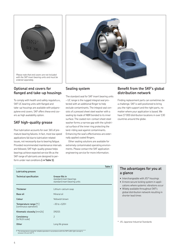

#### **Optional end covers for langed and take-up housings**

To comply with health and safety regulations, SKF UC bearing units with flanged and take-up housings are available with polypropylene end covers. SKF offers these end covers as high availability option.

#### **SKF high-quality grease**

Poor lubrication accounts for over 36% of premature bearing failures. In fact, most low speed applications fail due to lubrication related issues, not necessarily due to bearing fatigue. Provided recommended maintenance intervals are followed, SKF high-quality grease helps bearings achieve expected service life as the SKF range of lubricants are designed to perform under real conditions (→ Table 1).



#### **Sealing system**

The standard seal for SKF insert bearing units – UC range is the rugged integral seal protected with an additional flinger to help exclude contaminants. The integral seal consists of a pressed sheet steel washer with a sealing lip made of NBR bonded to its inner surface. The coated non-contact sheet steel washer forms a narrow gap with the cylindrical surface of the inner ring protecting the land-riding seal against contaminants. Enhancing the seal's effectiveness are externally applied coated flingers.

Other sealing solutions are available for extremely contaminated operating environments. Please contact the SKF application engineering service for more information.

#### **Beneit from the SKF's global distribution network**

Finding replacement parts can sometimes be a challenge. SKF is well positioned to bring you the right support and the right parts, no matter where your application is based. We have 17 000 distribution locations in over 130 countries around the globe.

|                                                  |                                                                              | Table 1 |
|--------------------------------------------------|------------------------------------------------------------------------------|---------|
| Lubricating greases                              |                                                                              |         |
| <b>Technical specification</b>                   | Grease fills in<br>standard insert bearings<br>standard insert bearing units |         |
| <b>Thickener</b>                                 | Lithium-calcium soap                                                         |         |
| Base oil                                         | Mineral oil                                                                  |         |
| Colour                                           | Yellowish brown                                                              |         |
| Temperature range [°C]<br>(continuous operation) | $-30$ to $+1201$                                                             |         |
| Kinematic viscosity [mm2/s]                      | 190/15                                                                       |         |
| Consistency<br>(to NLGI scale)                   | $\overline{2}$                                                               |         |
| <b>Other</b>                                     | Long life grease                                                             |         |

1) The temperature range for reliable operation in accordance with the SKF trafic light concept is between 10 and 120 °C.

#### **The advantages for you at a glance**

- Interchangeable with JIS\* housings
- A more secure locking system in applications where systemic vibrations occur
- Widely available throughout SKF's global distribution network resulting in shorter lead times

\* JIS: Japanese Industrial Standards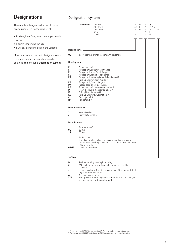### Designations

The complete designation for the SKF insert bearing units – UC range consists of:

- Prefixes, identifying insert bearing or housing series
- Figures, identifying the size
- Sufixes, identifying design and variants

More details about the basic designations and the supplementary designations can be obtained from the table **Designation system.** 

#### **Designation system Examples:** UCP 205 UC P 2 05 UCF 205-15 UC F 2 05-15 UCP 205<br>
UCFL 205-15<br>
UCFL 204B<br>
T 215<br>
UC 312<br>
UC 312<br>
UC 312<br>
UC 312 T 215 T 2 15 UC 312 UC 312 **Bearing series UC** Insert bearing, cylindrical bore with set screws **Housing type P** Pillow block unit<br> **F** Flanged unit, squ **F** Flanged unit, square 4-bolt flange<br>**FL** Flanged unit, oval 2-bolt flange **FL** Flanged unit, oval 2-bolt flange<br> **FC** Flanged unit, round 4-bolt flang<br> **FS** Flanged unit, square piloted 4-b Flanged unit, round 4-bolt flange **FS** Flanged unit, square piloted 4-bolt flange <sup>2)</sup><br> **T** Take-up unit for linear motion <sup>1)</sup> **T** Take-up unit for linear motion <sup>1)</sup><br> **FB** Flanged unit. 3-bolt flange <sup>1)</sup> **FB** Flanged unit, 3-bolt flange 1)<br>**PA** Tapped base pillow block unit **PA** Tapped base pillow block unit<sup>1)</sup><br> **LP** Pillow block unit. lower center h **LP** Pillow block unit, lower center height <sup>2)</sup><br>
PH Pillow block unit, high center height <sup>2)</sup> **PH** Pillow block unit, high center height <sup>2)</sup> **IP** Thick pillow block unit 2) **FA** Take-up unit for swivel motion 2) **C** Cartridge unit 2) **HA** Hanger unit 2) **Dimension series 2** Normal series **3** Heavy duty series 1) **Bore diameter** For metric shaft **04** 20 mm **15** 75 mm For inch shaft 1) Two-digit number follows the basic metric bearing size and is separated from this by a hyphen; it is the number of sixteenths ( 1/16) of an inch **05-15**  $15/16$  in = 23,813 mm **Sufixes B** Revise mounting bearing in housing<br>**Z** With inch threaded attaching holes w **Z** With inch threaded attaching holes when metric is the standard **J** Pressed steel cage (omitted in size above 210 as pressed steel cage is standard feature) **AH** Air handling execution<br>**VZ811** With groove for mounti With groove for mounting end cover (omitted in some flanged housing types as a standard design)

1) Planned launch mid 2017. Contact your local SKF representative for more information. 2) Planned launch mid 2018. Contact your local SKF representative for more information.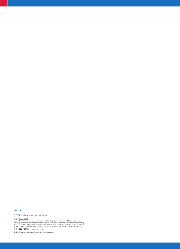#### **skf.com**

® SKF is a registered trademark of the SKF Group.

 $\circledcirc$  SKF Group 2018<br>The contents of this publication are the copyright of the publisher and may not be reproduced (even<br>extracts) unless prior written permission is granted. Every care has been taken to ensure the accur

**PUB BU/P2 17273 EN** · September 2018

Certain image(s) used under license from Shutterstock.com.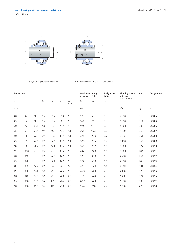



Polymer cage for size 204 to 210 Pressed steel cage for size 211 and above

| <b>Dimensions</b> |     |      | <b>Basic load ratings</b><br>dynamic | static | <b>Fatique load</b><br>limit | <b>Limiting speed</b><br>with shaft<br>tolerance h6 | Mass | <b>Designation</b> |       |         |      |                          |
|-------------------|-----|------|--------------------------------------|--------|------------------------------|-----------------------------------------------------|------|--------------------|-------|---------|------|--------------------------|
| d                 | D   | B    | С                                    | $d_1$  | S <sub>1</sub>               | $\frac{r_{1,2}}{min.}$                              | С    | $C_0$              | $P_u$ |         |      |                          |
| mm                |     |      |                                      |        |                              |                                                     | kN   |                    |       | r/min   | kg   | $\overline{\phantom{0}}$ |
| 20                | 47  | 31   | 15                                   | 28,7   | 18,3                         | $\mathbf 1$                                         | 12,7 | 6,7                | 0,3   | 6500    | 0,15 | <b>UC 204</b>            |
| 25                | 52  | 34   | 15                                   | 33,7   | 19,7                         | 1                                                   | 14,0 | 7,8                | 0,3   | 5850    | 0,19 | <b>UC 205</b>            |
| 30                | 62  | 38,1 | 18                                   | 39,8   | 22,2                         | 1                                                   | 19,5 | 11,4               | 0,5   | 5 0 0 0 | 0,30 | <b>UC 206</b>            |
| 35                | 72  | 42,9 | 19                                   | 46,8   | 25,4                         | 1,1                                                 | 25,5 | 15,3               | 0,7   | 4 3 0 0 | 0,46 | <b>UC 207</b>            |
| 40                | 80  | 49,2 | 22                                   | 52,5   | 30,2                         | 1,1                                                 | 32,5 | 20,0               | 0,9   | 3750    | 0,61 | <b>UC 208</b>            |
| 45                | 85  | 49,2 | 22                                   | 57,3   | 30,2                         | 1,1                                                 | 32,5 | 20,4               | 0,9   | 3 4 0 0 | 0,67 | <b>UC 209</b>            |
| 50                | 90  | 51,6 | 22                                   | 62,1   | 32,6                         | 1,1                                                 | 35,1 | 23,2               | 1,0   | 3 3 0 0 | 0,74 | <b>UC 210</b>            |
| 55                | 100 | 55,6 | 25                                   | 70,0   | 33,4                         | 1,5                                                 | 43,6 | 29,0               | 1,3   | 3 0 0 0 | 1,07 | <b>UC 211</b>            |
| 60                | 110 | 65,1 | 27                                   | 77,0   | 39,7                         | 1,5                                                 | 52,7 | 36,0               | 1,5   | 2700    | 1,50 | <b>UC 212</b>            |
| 65                | 120 | 65,1 | 27                                   | 82,1   | 39,7                         | 1,5                                                 | 57,2 | 40,0               | 1,7   | 2 3 5 0 | 1,81 | <b>UC 213</b>            |
| 70                | 125 | 74,6 | 29                                   | 87,0   | 44,4                         | 1,5                                                 | 62,4 | 44,0               | 1,9   | 2 2 5 0 | 2,01 | <b>UC 214</b>            |
| 75                | 130 | 77,8 | 30                                   | 91,5   | 44,5                         | 1,5                                                 | 66,3 | 49,0               | 2,0   | 2 1 0 0 | 2,20 | <b>UC 215</b>            |
| 80                | 140 | 82,6 | 32                                   | 98,5   | 49,3                         | 2,0                                                 | 71,5 | 54,0               | 2,2   | 1900    | 2,79 | <b>UC 216</b>            |
| 85                | 150 | 85,7 | 34                                   | 105,0  | 51,6                         | 2,0                                                 | 83,2 | 64,0               | 2,5   | 1800    | 3,38 | <b>UC 217</b>            |
| 90                | 160 | 96,0 | 36                                   | 111,5  | 56,3                         | 2,0                                                 | 95,6 | 72,0               | 2,7   | 1600    | 4,23 | <b>UC 218</b>            |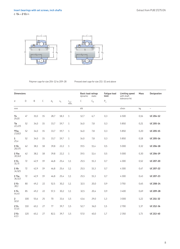



Polymer cage for size 204-12 to 209-28 Pressed steel cage for size 211-32 and above

| <b>Dimensions</b>      |             |             |             |       |                |                        | <b>Basic load ratings</b><br>dynamic<br>static |       | <b>Fatigue load</b><br>limit | <b>Limiting speed</b><br>with shaft<br>tolerance h6 | Mass | Designation              |
|------------------------|-------------|-------------|-------------|-------|----------------|------------------------|------------------------------------------------|-------|------------------------------|-----------------------------------------------------|------|--------------------------|
| d                      | $\mathsf D$ | $\mathsf B$ | $\mathsf C$ | $d_1$ | S <sub>1</sub> | $\frac{r_{1,2}}{min.}$ | С                                              | $C_0$ | $P_u$                        |                                                     |      |                          |
| mm                     |             |             |             |       |                |                        | kN                                             |       |                              | r/min                                               | kg   | $\overline{\phantom{0}}$ |
| 3/4<br>19,05           | 47          | 31,0        | 15          | 28,7  | 18,3           | $\mathbf 1$            | 12,7                                           | 6,7   | 0,3                          | 6500                                                | 0,16 | UC 204-12                |
| 7/8<br>22,225          | 52          | 34,0        | 15          | 33,7  | 19,7           | $\mathbf 1$            | 14,0                                           | 7,8   | 0,3                          | 5850                                                | 0,21 | UC 205-14                |
| 15/16<br>23,813        | 52          | 34,0        | 15          | 33,7  | 19,7           | $\mathbf 1$            | 14,0                                           | 7,8   | 0,3                          | 5850                                                | 0,20 | UC 205-15                |
| $\mathbf{1}$<br>25,4   | 52          | 34,0        | 15          | 33,7  | 19,7           | $\mathbf 1$            | 14,0                                           | 7,8   | 0,3                          | 5850                                                | 0,18 | UC 205-16                |
| 11/8<br>28,575         | 62          | 38,1        | 18          | 39,8  | 22,2           | $\mathbf 1$            | 19,5                                           | 11,4  | 0,5                          | 5 0 0 0                                             | 0,32 | UC 206-18                |
| 13/16<br>30,163        | 62          | 38,1        | 18          | 39,8  | 22.2           | $\mathbf 1$            | 19,5                                           | 11,4  | 0,5                          | 5 0 0 0                                             | 0,30 | UC 206-19                |
| 11/4<br>31,75          | 72          | 42,9        | 19          | 46,8  | 25,4           | 1,1                    | 25,5                                           | 15,3  | 0,7                          | 4300                                                | 0,52 | <b>UC 207-20</b>         |
| 13/8<br>34,925         | 72          | 42,9        | 19          | 46,8  | 25,4           | 1,1                    | 25,5                                           | 15,3  | 0,7                          | 4300                                                | 0,47 | <b>UC 207-22</b>         |
| 17/16<br>36,513        | 72          | 42,9        | 19          | 46,8  | 25,4           | 1,1                    | 25,5                                           | 15,3  | 0,7                          | 4300                                                | 0,43 | UC 207-23                |
| 11/2<br>38,1           | 80          | 49,2        | 22          | 52,5  | 30,2           | 1,1                    | 32,5                                           | 20,0  | 0,9                          | 3750                                                | 0,65 | UC 208-24                |
| 13/4<br>44,45          | 85          | 49,2        | 22          | 57,3  | 30,2           | 1,1                    | 32,5                                           | 20,4  | 0,9                          | 3 4 0 0                                             | 0,69 | <b>UC 209-28</b>         |
| $\overline{2}$<br>50.8 | 100         | 55,6        | 25          | 70    | 33,4           | 1,5                    | 43,6                                           | 29,0  | 1,3                          | 3 0 0 0                                             | 1,22 | UC 211-32                |
| 21/4<br>57,15          | 110         | 65,1        | 27          | 77    | 39,7           | 1,5                    | 52,7                                           | 36,0  | 1,5                          | 2700                                                | 1,37 | UC 212-36                |
| 21/2<br>63.5           | 120         | 65,1        | 27          | 82,1  | 39,7           | 1,5                    | 57,0                                           | 40,0  | 1,7                          | 2 3 5 0                                             | 1,73 | UC 213-40                |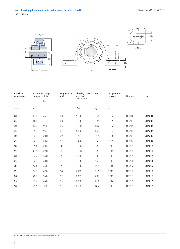$N_1$ 

 $\overline{1}$ 

 $\pm$ 





| Principal<br>dimensions | <b>Basic load ratings</b><br>dynamic static |       | <b>Fatigue load</b><br>limit | Limiting speed<br>with shaft<br>tolerance h6 | Mass | <b>Designations</b><br>Housing | Bearing       | Unit           |
|-------------------------|---------------------------------------------|-------|------------------------------|----------------------------------------------|------|--------------------------------|---------------|----------------|
| d                       | C                                           | $C_0$ | $P_u$                        |                                              |      |                                |               |                |
| mm                      | kN                                          |       |                              | r/min                                        | kg   | $\overline{\phantom{0}}$       |               |                |
| 20                      | 12,7                                        | 6,7   | 0,3                          | 6500                                         | 0,66 | P 204                          | <b>UC 204</b> | <b>UCP 204</b> |
| 25                      | 14,0                                        | 7,8   | 0,3                          | 5850                                         | 0,86 | P 205                          | <b>UC 205</b> | <b>UCP 205</b> |
| 30                      | 19,5                                        | 11,4  | 0,5                          | 5 0 0 0                                      | 1,34 | P 206                          | <b>UC 206</b> | <b>UCP 206</b> |
| 35                      | 25,5                                        | 15,3  | 0,7                          | 4 3 0 0                                      | 1,62 | P 207                          | <b>UC 207</b> | <b>UCP 207</b> |
| 40                      | 32,5                                        | 20,0  | 0,9                          | 3750                                         | 2,17 | P 208                          | <b>UC 208</b> | <b>UCP 208</b> |
| 45                      | 32,5                                        | 20,4  | 0,9                          | 3 4 0 0                                      | 2,40 | P 209                          | <b>UC 209</b> | <b>UCP 209</b> |
| 50                      | 35,1                                        | 23,2  | 1,0                          | 3 3 0 0                                      | 2,88 | P 210                          | <b>UC 210</b> | <b>UCP 210</b> |
| 55                      | 43,6                                        | 29,0  | 1,3                          | 3 0 0 0                                      | 3,95 | P 211                          | <b>UC 211</b> | <b>UCP 211</b> |
| 60                      | 52,7                                        | 36,0  | 1,5                          | 2700                                         | 5,05 | P 212                          | <b>UC 212</b> | <b>UCP 212</b> |
| 65                      | 57,2                                        | 40,0  | 1,7                          | 2 3 5 0                                      | 6,63 | P 213                          | <b>UC 213</b> | <b>UCP 213</b> |
| 70                      | 62,4                                        | 44,0  | 1,9                          | 2 2 5 0                                      | 7,17 | P 214                          | <b>UC 214</b> | <b>UCP 214</b> |
| 75                      | 66,3                                        | 49,0  | 2,0                          | 2100                                         | 8,17 | P 215                          | <b>UC 215</b> | <b>UCP 215</b> |
| 80                      | 71,5                                        | 54,0  | 2,2                          | 1900                                         | 9,30 | P 216                          | <b>UC 216</b> | <b>UCP 216</b> |
| 85                      | 83,2                                        | 64,0  | 2,5                          | 1800                                         | 12,9 | P 217                          | <b>UC 217</b> | <b>UCP 217</b> |
| 90                      | 95,6                                        | 72,0  | 2,7                          | 1600                                         | 14,5 | P 218                          | <b>UC 218</b> | <b>UCP 218</b> |

#### $1)$  The grease nipple is centered on the housing for size 210 and above.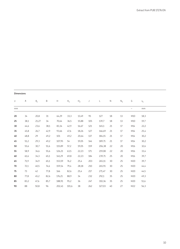**Dimensions**

| d  | Α    | $A_1$ | B    | H      | $H_1$ | H <sub>2</sub> | J   | L      | $\mathsf{N}$ | $N_1$  | G                        | $S_1$    |
|----|------|-------|------|--------|-------|----------------|-----|--------|--------------|--------|--------------------------|----------|
| mm |      |       |      |        |       |                |     |        |              |        | $\overline{\phantom{0}}$ | $\rm mm$ |
| 20 | 34   | 20,8  | 31   | 64,29  | 33,3  | 13,49          | 95  | 127    | 18           | 13     | M10                      | 18,3     |
| 25 | 38,1 | 21,27 | 34   | 70,64  | 36,5  | 15,88          | 105 | 139,7  | 18           | 13     | M10                      | 19,7     |
| 30 | 44,6 | 23,6  | 38,1 | 83,34  | 42,9  | 16,67          | 121 | 165,1  | 21           | 17     | M14                      | 22,2     |
| 35 | 45,8 | 26,7  | 42,9 | 93,66  | 47,6  | 18,26          | 127 | 166,69 | 21           | $17\,$ | M14                      | 25,4     |
| 40 | 48,8 | 29    | 49,2 | 101    | 49,2  | 20,64          | 137 | 184,15 | 21           | $17\,$ | M14                      | 30,2     |
| 45 | 51,2 | 29,3  | 49,2 | 107,95 | 54    | 19,05          | 146 | 189,71 | 21           | $17\,$ | M14                      | 30,2     |
| 50 | 55,6 | 30,7  | 51,6 | 115,89 | 57,2  | 19,05          | 159 | 206,38 | 22           | 20     | M16                      | 32,6     |
| 55 | 58,9 | 34,6  | 55,6 | 126,21 | 63,5  | 22,23          | 171 | 219,08 | 22           | 20     | M16                      | 33,4     |
| 60 | 61,6 | 34,3  | 65,1 | 141,29 | 69,8  | 22,23          | 184 | 239,71 | 25           | 20     | M16                      | 39,7     |
| 65 | 71,9 | 34,9  | 65,1 | 153,59 | 76,2  | 25,4           | 203 | 265,11 | 30           | 25     | M20                      | 39,7     |
| 70 | 72,1 | 40,5  | 74,6 | 159,54 | 79,4  | 28,18          | 210 | 265,91 | 30           | 25     | M20                      | 44,4     |
| 75 | 73   | 42    | 77,8 | 166    | 82,6  | 25,4           | 217 | 271,47 | 30           | 25     | M20                      | 44,5     |
| 80 | 77,8 | 45,2  | 82,6 | 176,21 | 88,9  | 34             | 232 | 292,1  | 35           | 25     | M20                      | 49,3     |
| 85 | 83,2 | 47,6  | 85,7 | 188,91 | 95,2  | 36             | 247 | 310,36 | 35           | 25     | M20                      | 51,6     |
| 90 | 88   | 50,8  | 96   | 202,41 | 101,6 | 38             | 262 | 327,03 | 40           | 27     | M22                      | 56,3     |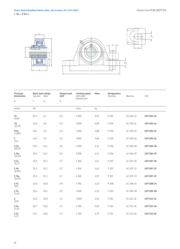$N_1$ 

Ŧ

 $\pm$ 





| Principal<br>dimensions |      | <b>Basic load ratings</b><br>dynamic static | <b>Fatigue load</b><br>limit | Limiting speed<br>with shaft<br>tolerance h6 | Mass | <b>Designations</b><br>Housing | Bearing   | Unit              |
|-------------------------|------|---------------------------------------------|------------------------------|----------------------------------------------|------|--------------------------------|-----------|-------------------|
| ${\sf d}$               | С    | $C_0$                                       | $P_u$                        |                                              |      |                                |           |                   |
| in/mm                   | kN   |                                             |                              | r/min                                        | kg   | $\qquad \qquad -$              |           |                   |
| 3/4<br>19,05            | 12,7 | 6,7                                         | 0,3                          | 6500                                         | 0,67 | P 204                          | UC 204-12 | UCP 204-12        |
| $\frac{7}{8}$<br>22,225 | 14,0 | 7,8                                         | 0,3                          | 5850                                         | 0,89 | P 205                          | UC 205-14 | UCP 205-14        |
| 15/16<br>23,813         | 14,0 | 7,8                                         | 0,3                          | 5850                                         | 0,88 | P 205                          | UC 205-15 | <b>UCP 205-15</b> |
| $\mathbf{1}$<br>25,4    | 14,0 | 7,8                                         | 0,3                          | 5850                                         | 0,86 | P 205                          | UC 205-16 | <b>UCP 205-16</b> |
| 11/8<br>28,575          | 19,5 | 11,4                                        | 0,5                          | 5 0 0 0                                      | 1,36 | P 206                          | UC 206-18 | UCP 206-18        |
| 13/16<br>30,163         | 19,5 | 11,4                                        | 0,5                          | 5 0 0 0                                      | 1,34 | P 206                          | UC 206-19 | UCP 206-19        |
| 11/4<br>31,75           | 25,5 | 15,3                                        | 0,7                          | 4 3 0 0                                      | 1,67 | P 207                          | UC 207-20 | <b>UCP 207-20</b> |
| 13/8<br>34,925          | 25,5 | 15,3                                        | 0,7                          | 4 3 0 0                                      | 1,62 | P 207                          | UC 207-22 | <b>UCP 207-22</b> |
| 17/16<br>36,513         | 25,5 | 15,3                                        | 0,7                          | 4 3 0 0                                      | 1,59 | P 207                          | UC 207-23 | <b>UCP 207-23</b> |
| 11/2<br>38,1            | 32,5 | 20,0                                        | 0,9                          | 3750                                         | 2,22 | P 208                          | UC 208-24 | <b>UCP 208-24</b> |
| 13/4<br>44,45           | 32,5 | 20,4                                        | 0,9                          | 3 4 0 0                                      | 2,41 | P 209                          | UC 209-28 | <b>UCP 209-28</b> |
| $\frac{2}{50,8}$        | 43,6 | 29,0                                        | 1,3                          | 3 0 0 0                                      | 4,10 | P 211                          | UC 211-32 | UCP 211-32        |
| 21/4<br>57,15           | 52,7 | 36,0                                        | 1,5                          | 2700                                         | 5,18 | P 212                          | UC 212-36 | UCP 212-36        |
| 21/2<br>63,5            | 57,2 | 40,0                                        | 1,7                          | 2 3 5 0                                      | 6,70 | P 213                          | UC 213-40 | UCP 213-40        |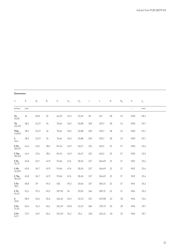|                        | <b>Dimensions</b> |       |      |                           |       |                |     |           |            |        |                          |       |
|------------------------|-------------------|-------|------|---------------------------|-------|----------------|-----|-----------|------------|--------|--------------------------|-------|
| d                      | А                 | $A_1$ | B    | $\boldsymbol{\mathsf{H}}$ | $H_1$ | H <sub>2</sub> | J   | $\lfloor$ | $\hbox{N}$ | $N_1$  | G                        | $s_1$ |
| in/mm                  | mm                |       |      |                           |       |                |     |           |            |        | $\overline{\phantom{0}}$ | mm    |
| 3/4<br>19,05           | $34$              | 20,8  | 31   | 64,29                     | 33,3  | 13,49          | 95  | 127       | 18         | 13     | M10                      | 18,3  |
| 7/8<br>22,225          | 38,1              | 21,27 | 34   | 70,64                     | 36,5  | 15,88          | 105 | 139,7     | 18         | 13     | M10                      | 19,7  |
| 15/16<br>23,813        | 38,1              | 21,27 | 34   | 70,64                     | 36,5  | 15,88          | 105 | 139,7     | 18         | 13     | M10                      | 19,7  |
| $\mathbf{1}$<br>25,4   | 38,1              | 21,27 | 34   | 70,64                     | 36,5  | 15,88          | 105 | 139,7     | 18         | 13     | M10                      | 19,7  |
| $1^{1/8}$<br>28,575    | 44,6              | 23,6  | 38,1 | 83,34                     | 42,9  | 16,67          | 121 | 165,1     | 21         | $17\,$ | M10                      | 22,2  |
| 13/16<br>30,163        | 44,6              | 23,6  | 38,1 | 83,34                     | 42,9  | 16,67          | 121 | 165,1     | 21         | 17     | M10                      | 22,2  |
| 11/4<br>31,75          | 45,8              | 26,7  | 42,9 | 93,66                     | 47,6  | 18,26          | 127 | 166,69    | 21         | $17\,$ | M12                      | 25,4  |
| $1^{3/8}$<br>34,925    | 45,8              | 26,7  | 42,9 | 93,66                     | 47,6  | 18,26          | 127 | 166,69    | 21         | 17     | M12                      | 25,4  |
| 17/16<br>36,513        | 45,8              | 26,7  | 42,9 | 93,66                     | 47,6  | 18,26          | 127 | 166,69    | 21         | 17     | M12                      | 25,4  |
| 11/2<br>38,1           | 48,8              | 29    | 49,2 | 101                       | 49,2  | 20,64          | 137 | 184,15    | 21         | $17\,$ | M14                      | 30,2  |
| $1^{3/4}$<br>44,45     | 51,2              | 29,3  | 49,2 | 107,95                    | 54    | 19,05          | 146 | 189,71    | 21         | 17     | M14                      | 30,2  |
| $\overline{2}$<br>50,8 | 58,9              | 34,6  | 55,6 | 126,21                    | 63,5  | 22,23          | 171 | 219,08    | 22         | 20     | M16                      | 33,4  |
| 21/4<br>57,15          | 61,6              | 34,3  | 65,1 | 141,29                    | 69,8  | 22,23          | 184 | 239,71    | 25         | 20     | M16                      | 39,7  |
| 21/2<br>63,5           | 71,9              | 34,9  | 65,1 | 153,59                    | 76,2  | 25,4           | 203 | 265,11    | 30         | 25     | M16                      | 39,7  |

 $\sim$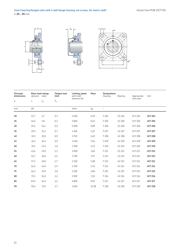





| Principal<br>dimensions | <b>Basic load ratings</b><br>dynamic static |       | <b>Fatique load</b><br>limit | Limiting speed<br>with shaft<br>tolerance h6 | Mass  | <b>Designations</b><br>Housing | Bearing       | Appropriate<br>end cover | Unit           |
|-------------------------|---------------------------------------------|-------|------------------------------|----------------------------------------------|-------|--------------------------------|---------------|--------------------------|----------------|
| d                       | С                                           | $C_0$ | $P_u$                        |                                              |       |                                |               |                          |                |
| mm                      | kN                                          |       |                              | r/min                                        | kg    | $\qquad \qquad -$              |               |                          |                |
| 20                      | 12,7                                        | 6,7   | 0,3                          | 6500                                         | 0,49  | F 204                          | <b>UC 204</b> | <b>ECY 204</b>           | <b>UCF 204</b> |
| 25                      | 14,0                                        | 7,8   | 0,3                          | 5850                                         | 0,63  | F 205                          | <b>UC 205</b> | <b>ECY 205</b>           | <b>UCF 205</b> |
| 30                      | 19,5                                        | 11,4  | 0,5                          | 5 0 0 0                                      | 0,89  | F 206                          | <b>UC 206</b> | <b>ECY 206</b>           | <b>UCF 206</b> |
| 35                      | 25,5                                        | 15,3  | 0,7                          | 4 3 0 0                                      | 1,25  | F 207                          | <b>UC 207</b> | <b>ECY 207</b>           | <b>UCF 207</b> |
| 40                      | 32,5                                        | 20,0  | 0,9                          | 3750                                         | 1,69  | F 208                          | <b>UC 208</b> | <b>ECY 208</b>           | <b>UCF 208</b> |
| 45                      | 32,5                                        | 20,4  | 0,9                          | 3400                                         | 1,96  | F 209                          | <b>UC 209</b> | <b>ECY 209</b>           | <b>UCF 209</b> |
| 50                      | 35,1                                        | 23,2  | 1,0                          | 3 3 0 0                                      | 2,23  | F 210                          | <b>UC 210</b> | <b>ECY 210</b>           | <b>UCF 210</b> |
| 55                      | 43,6                                        | 29,0  | 1,3                          | 3000                                         | 3,60  | F 211                          | <b>UC 211</b> | <b>ECY 211</b>           | <b>UCF 211</b> |
| 60                      | 52,7                                        | 36,0  | 1,5                          | 2700                                         | 3,97  | F 212                          | <b>UC 212</b> | <b>ECY 212</b>           | <b>UCF 212</b> |
| 65                      | 57,2                                        | 40,0  | 1,7                          | 2 3 5 0                                      | 5,08  | F 213                          | <b>UC 213</b> | <b>ECY 213</b>           | <b>UCF 213</b> |
| 70                      | 62,4                                        | 44,0  | 1,9                          | 2 2 5 0                                      | 5,34  | F 214                          | <b>UC 214</b> | <b>ECY 214</b>           | <b>UCF 214</b> |
| 75                      | 66,3                                        | 49,0  | 2,0                          | 2 1 0 0                                      | 5,86  | F 215                          | <b>UC 215</b> | <b>ECY 215</b>           | <b>UCF 215</b> |
| 80                      | 71,5                                        | 54,0  | 2,2                          | 1900                                         | 7,02  | F 216                          | <b>UC 216</b> | <b>ECY 216</b>           | <b>UCF 216</b> |
| 85                      | 83,2                                        | 64,0  | 2,5                          | 1800                                         | 8,91  | F 217                          | <b>UC 217</b> | <b>ECY 217</b>           | <b>UCF 217</b> |
| 90                      | 95,6                                        | 72,0  | 2,7                          | 1600                                         | 11,38 | F 218                          | <b>UC 218</b> | <b>ECY 218</b>           | <b>UCF 218</b> |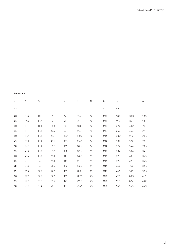**Dimensions**

| d  | Α    | $A_1$ | B      | J   | L     | $\mathsf N$ | G                 | S <sub>1</sub> | Τ    | $A_5$ |
|----|------|-------|--------|-----|-------|-------------|-------------------|----------------|------|-------|
| mm |      |       |        |     |       |             | $\qquad \qquad -$ | mm             |      |       |
| 20 | 25,4 | 11,1  | $31\,$ | 64  | 85,7  | 12          | M10               | 18,3           | 33,3 | 18,5  |
| 25 | 26,9 | 12,7  | 34     | 70  | 95,3  | 12          | M10               | 19,7           | 35,7 | 18    |
| 30 | 30   | 14,3  | 38,1   | 83  | 108   | $12$        | M10               | 22,2           | 40,2 | 20    |
| 35 | 32   | 15,1  | 42,9   | 92  | 117,5 | 14          | M12               | 25,4           | 44,4 | 22    |
| 40 | 35,7 | 15,1  | 49,2   | 102 | 130,2 | 16          | M14               | 30,2           | 51,2 | 23,5  |
| 45 | 38,1 | 15,9  | 49,2   | 105 | 136,5 | 16          | M14               | 30,2           | 52,2 | 23    |
| 50 | 39,7 | 15,9  | 51,6   | 111 | 142,9 | 16          | M14               | 32,6           | 54,6 | 29,5  |
| 55 | 42,9 | 18,3  | 55,6   | 130 | 161,9 | 19          | M16               | 33,4           | 58,4 | 34    |
| 60 | 47,6 | 18,3  | 65,1   | 143 | 174,6 | 19          | M16               | 39,7           | 68,7 | 35,5  |
| 65 | 50   | 22,2  | 65,1   | 149 | 187,3 | 19          | M16               | 39,7           | 69,7 | 35,5  |
| 70 | 53,9 | 22,2  | 74,6   | 152 | 192,9 | 19          | M16               | 44,4           | 75,4 | 38,5  |
| 75 | 56,4 | 22,2  | 77,8   | 159 | 200   | 19          | M16               | 44,5           | 78,5 | 38,5  |
| 80 | 57,9 | 22,2  | 82,6   | 165 | 207,9 | 23          | M20               | 49,3           | 83,3 | 41,5  |
| 85 | 62,7 | 23,8  | 85,7   | 175 | 219,9 | 23          | M20               | 51,6           | 87,6 | 43,2  |
| 90 | 68,3 | 25,4  | 96     | 187 | 234,9 | 23          | M20               | 56,3           | 96,3 | 45,3  |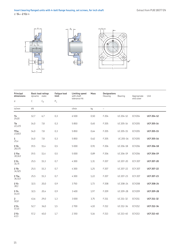





| Principal<br>dimensions<br>d | <b>Basic load ratings</b><br>dynamic static<br>С | $C_0$ | <b>Fatigue load</b><br>limit<br>$\mathsf{P}_\mathsf{u}$ | Limiting speed<br>with shaft<br>tolerance h6 | Mass | <b>Designations</b><br>Housing | Bearing   | Appropriate<br>end cover | Unit              |
|------------------------------|--------------------------------------------------|-------|---------------------------------------------------------|----------------------------------------------|------|--------------------------------|-----------|--------------------------|-------------------|
| in/mm                        | $\mathsf{k}\mathsf{N}$                           |       |                                                         | $r/m$ in                                     | kg   | $\overline{\phantom{0}}$       |           |                          |                   |
| 3/4<br>19,05                 | 12,7                                             | 6,7   | 0,3                                                     | 6500                                         | 0,50 | F 204                          | UC 204-12 | ECY204                   | <b>UCF 204-12</b> |
| 7/8<br>22,225                | 14,0                                             | 7,8   | 0,3                                                     | 5850                                         | 0,65 | F 205                          | UC 205-14 | <b>ECY205</b>            | <b>UCF 205-14</b> |
| 15/16<br>23,813              | 14,0                                             | 7,8   | 0,3                                                     | 5850                                         | 0,64 | F 205                          | UC 205-15 | <b>ECY205</b>            | <b>UCF 205-15</b> |
| $\mathbf{1}$<br>25,4         | 14,0                                             | 7,8   | 0,3                                                     | 5850                                         | 0,62 | F 205                          | UC 205-16 | ECY205                   | <b>UCF 205-16</b> |
| 11/8<br>28,575               | 19,5                                             | 11,4  | 0,5                                                     | 5 0 0 0                                      | 0,91 | F 206                          | UC 206-18 | <b>ECY206</b>            | <b>UCF 206-18</b> |
| 13/16<br>30,163              | 19,5                                             | 11,4  | 0,5                                                     | 5 0 0 0                                      | 0,89 | F 206                          | UC 206-19 | <b>ECY206</b>            | <b>UCF 206-19</b> |
| 11/4<br>31,75                | 25,5                                             | 15,3  | 0,7                                                     | 4 3 0 0                                      | 1,31 | F 207                          | UC 207-20 | <b>ECY 207</b>           | <b>UCF 207-20</b> |
| $1^{3/8}$<br>34,925          | 25,5                                             | 15,3  | 0,7                                                     | 4 3 0 0                                      | 1,25 | F 207                          | UC 207-22 | <b>ECY 207</b>           | <b>UCF 207-22</b> |
| 17/16<br>36,513              | 25,5                                             | 15,3  | 0,7                                                     | 4 3 0 0                                      | 1,22 | F 207                          | UC 207-23 | <b>ECY 207</b>           | <b>UCF 207-23</b> |
| 11/2<br>38,1                 | 32,5                                             | 20,0  | 0,9                                                     | 3750                                         | 1,73 | F 208                          | UC 208-24 | <b>ECY208</b>            | <b>UCF 208-24</b> |
| 13/4<br>44,45                | 32,5                                             | 20,4  | 0,9                                                     | 3400                                         | 1,97 | F 209                          | UC 209-28 | <b>ECY209</b>            | <b>UCF 209-28</b> |
| 2<br>50,8                    | 43,6                                             | 29,0  | 1,3                                                     | 3000                                         | 3,75 | F 211                          | UC 211-32 | ECY211                   | UCF 211-32        |
| 21/4<br>57,15                | 52,7                                             | 36,0  | 1,5                                                     | 2700                                         | 4,10 | F 212                          | UC 212-36 | ECY212                   | <b>UCF 212-36</b> |
| $2^{1/2}$<br>63,5            | 57,2                                             | 40,0  | 1,7                                                     | 2 3 5 0                                      | 5,16 | F 213                          | UC 213-40 | ECY213                   | UCF 213-40        |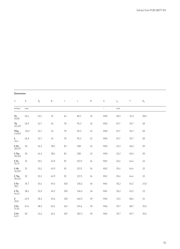**Dimensions**

| d                      | $\mathsf A$ | $\mathsf{A}_1$ | $\mathsf B$ | $\bigcup$ | $\mathsf L$ | N      | G                        | $S_1$ | $\top$ | $\mathsf{A}_5$ |
|------------------------|-------------|----------------|-------------|-----------|-------------|--------|--------------------------|-------|--------|----------------|
| in/mm                  | mm          |                |             |           |             |        | $\overline{\phantom{a}}$ | mm    |        |                |
| 3/4<br>19,05           | 25,4        | 11,1           | $31\,$      | 64        | 85,7        | $12\,$ | M10                      | 18,3  | 33,3   | 18,5           |
| 7/8<br>22,225          | 26,9        | 12,7           | $34$        | $70\,$    | 95,3        | $12\,$ | M10                      | 19,7  | 35,7   | $18\,$         |
| 15/16<br>23,813        | 26,9        | 12,7           | 34          | 70        | 95,3        | 12     | M10                      | 19,7  | 35,7   | $18\,$         |
| $\mathbf{1}$<br>25,4   | 26,9        | 12,7           | 34          | $70\,$    | 95,3        | $12\,$ | M10                      | 19,7  | 35,7   | $18\,$         |
| $1^{1/8}$<br>28,575    | 30          | 14,3           | 38,1        | 83        | 108         | $12\,$ | M10                      | 22,2  | 40,2   | $20\,$         |
| 13/16<br>30,163        | 30          | 14,3           | 38,1        | 83        | 108         | 12     | M10                      | 22,2  | 40,2   | $20\,$         |
| 11/4<br>31,75          | 32          | 15,1           | 42,9        | 92        | 117,5       | 14     | M12                      | 25,4  | 44,4   | 22             |
| 13/8<br>34,925         | 32          | 15,1           | 42,9        | 92        | 117,5       | 14     | M12                      | 25,4  | 44,4   | 22             |
| 17/16<br>36,513        | 32          | 15,1           | 42,9        | 92        | 117,5       | 14     | M12                      | 25,4  | 44,4   | 22             |
| 11/2<br>38,1           | 35,7        | 15,1           | 49,2        | 102       | 130,2       | 16     | M14                      | 30,2  | 51,2   | 23,5           |
| $1^{3/4}$<br>44,45     | 38,1        | 15,9           | 49,2        | 105       | 136,5       | 16     | M14                      | 30,2  | 52,2   | 23             |
| $\overline{2}$<br>50,8 | 42,9        | 18,3           | 55,6        | 130       | 161,9       | 19     | M16                      | 33,4  | 58,4   | 34             |
| 21/4<br>57,15          | 47,6        | 18,3           | 65,1        | 143       | 174,6       | 19     | M16                      | 39,7  | 68,7   | 35,5           |
| 21/2<br>63,5           | 50          | 22,2           | 65,1        | 149       | 187,3       | 19     | M16                      | 39,7  | 69,7   | 35,5           |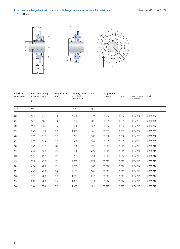





| Principal<br>dimensions<br>d | <b>Basic load ratings</b><br>dynamic static<br>C | $C_0$ | <b>Fatique load</b><br>limit<br>$P_u$ | Limiting speed<br>with shaft<br>tolerance h6 | Mass | <b>Designations</b><br>Housing | Bearing       | Appropriate<br>end cover | Unit            |
|------------------------------|--------------------------------------------------|-------|---------------------------------------|----------------------------------------------|------|--------------------------------|---------------|--------------------------|-----------------|
|                              |                                                  |       |                                       |                                              |      |                                |               |                          |                 |
| mm                           | kN                                               |       |                                       | r/min                                        | kg   | $\overline{\phantom{0}}$       |               |                          |                 |
| 20                           | 12,7                                             | 6,7   | 0,3                                   | 6500                                         | 0,72 | FC 204                         | <b>UC 204</b> | <b>ECY 204</b>           | <b>UCFC 204</b> |
| 25                           | 14,0                                             | 7,8   | 0,3                                   | 5850                                         | 1,01 | FC 205                         | <b>UC 205</b> | <b>ECY 205</b>           | <b>UCFC 205</b> |
| 30                           | 19,5                                             | 11,4  | 0,5                                   | 5 0 0 0                                      | 1,29 | FC 206                         | <b>UC 206</b> | <b>ECY 206</b>           | <b>UCFC 206</b> |
| 35                           | 25,5                                             | 15,3  | 0,7                                   | 4300                                         | 1,61 | FC 207                         | <b>UC 207</b> | <b>ECY 207</b>           | <b>UCFC 207</b> |
| 40                           | 32,5                                             | 20,0  | 0,9                                   | 3750                                         | 2,02 | FC 208                         | <b>UC 208</b> | <b>ECY 208</b>           | <b>UCFC 208</b> |
| 45                           | 32,5                                             | 20,4  | 0,9                                   | 3400                                         | 2,45 | FC 209                         | <b>UC 209</b> | <b>ECY 209</b>           | <b>UCFC 209</b> |
| 50                           | 35,1                                             | 23,2  | 1,0                                   | 3 3 0 0                                      | 2,95 | FC 210                         | <b>UC 210</b> | <b>ECY 210</b>           | <b>UCFC 210</b> |
| 55                           | 43,6                                             | 29,0  | 1,3                                   | 3000                                         | 4,26 | FC 211                         | <b>UC 211</b> | <b>ECY 211</b>           | <b>UCFC 211</b> |
| 60                           | 52,7                                             | 36,0  | 1,5                                   | 2700                                         | 5,10 | FC 212                         | <b>UC 212</b> | <b>ECY 212</b>           | <b>UCFC 212</b> |
| 65                           | 57,2                                             | 40,0  | 1,7                                   | 2 3 5 0                                      | 5,70 | FC 213                         | <b>UC 213</b> | <b>ECY 213</b>           | <b>UCFC 213</b> |
| 70                           | 62,4                                             | 44,0  | 1,9                                   | 2 2 5 0                                      | 6,87 | FC 214                         | <b>UC 214</b> | <b>ECY 214</b>           | <b>UCFC 214</b> |
| 75                           | 66,3                                             | 49,0  | 2,0                                   | 2100                                         | 7,86 | FC 215                         | <b>UC 215</b> | <b>ECY 215</b>           | <b>UCFC 215</b> |
| 80                           | 71,5                                             | 54,0  | 2,2                                   | 1900                                         | 9,12 | FC 216                         | <b>UC 216</b> | <b>ECY 216</b>           | <b>UCFC 216</b> |
| 85                           | 83,2                                             | 64,0  | 2,5                                   | 1800                                         | 10,3 | FC 217                         | <b>UC 217</b> | <b>ECY 217</b>           | <b>UCFC 217</b> |
| 90                           | 95,6                                             | 72,0  | 2,7                                   | 1600                                         | 11,9 | FC 218                         | <b>UC 218</b> | <b>ECY 218</b>           | <b>UCFC 218</b> |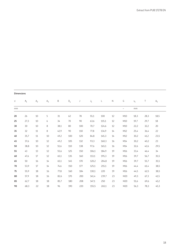**Dimensions**

| d  | $A_1$ | A <sub>2</sub> | $A_3$ | B    | $D_{a}$ | J   | $\mathsf{J}_1$ | L     | $\mathsf{N}$ | G                        | $s_1$ | Τ    | A <sub>5</sub> |
|----|-------|----------------|-------|------|---------|-----|----------------|-------|--------------|--------------------------|-------|------|----------------|
| mm |       |                |       |      |         |     |                |       |              | $\overline{\phantom{0}}$ | mm    |      |                |
| 20 | 26    | 10             | 5     | 31   | 62      | 78  | 55,1           | 100   | 12           | M10                      | 18,3  | 28,3 | 18,5           |
| 25 | 27,3  | 10             | 6     | 34   | 70      | 90  | 63,6           | 115,1 | 12           | M10                      | 19,7  | 29,7 | 18             |
| 30 | 30    | 10             | 8     | 38,1 | 80      | 100 | 70,7           | 124,6 | 12           | M10                      | 22,2  | 32,2 | 20             |
| 35 | 32    | 11             | 8     | 42,9 | 90      | 110 | 77,8           | 134,9 | 14           | M12                      | 25,4  | 36,4 | 22             |
| 40 | 35,7  | 11             | 10    | 49,2 | 100     | 120 | 84,8           | 145,3 | 14           | M12                      | 30,2  | 41,2 | 23,5           |
| 45 | 37,6  | 10             | 12    | 49,2 | 105     | 132 | 93,3           | 160,3 | 16           | M14                      | 30,2  | 40,2 | 23             |
| 50 | 38,8  | 10             | 12    | 51,6 | 110     | 138 | 97,6           | 165,1 | 16           | M14                      | 32,6  | 42,6 | 29,5           |
| 55 | 43    | 13             | 12    | 55,6 | 125     | 150 | 106,1          | 184,9 | 19           | M16                      | 33,4  | 46,4 | 34             |
| 60 | 47,6  | 17             | 12    | 65,1 | 135     | 160 | 113,1          | 195,3 | 19           | M16                      | 39,7  | 56,7 | 35,5           |
| 65 | 50    | 16             | 14    | 65,1 | 145     | 170 | 120,2          | 204,8 | 19           | M16                      | 39,7  | 55,7 | 35,5           |
| 70 | 53,9  | 17             | 14    | 74,6 | 150     | 177 | 125,1          | 215,1 | 19           | M16                      | 44,4  | 61,4 | 38,5           |
| 75 | 55,9  | 18             | 16    | 77,8 | 160     | 184 | 130,1          | 220   | 19           | M16                      | 44,5  | 62,5 | 38,5           |
| 80 | 57,9  | 18             | 16    | 82,6 | 170     | 200 | 141,4          | 239,7 | 23           | M20                      | 49,3  | 67,3 | 41,5           |
| 85 | 62,7  | 18             | 18    | 85,7 | 180     | 208 | 147,1          | 250   | 23           | M20                      | 51,6  | 69,6 | 43,2           |
| 90 | 68,3  | 22             | 18    | 96   | 190     | 220 | 155,5          | 265,1 | 23           | M20                      | 56,3  | 78,3 | 45,3           |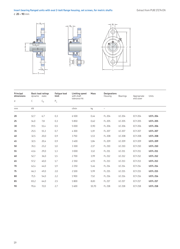





| Principal<br><b>Basic load ratings</b><br>dimensions<br>dynamic |      | static | <b>Fatique load</b><br>limit | <b>Limiting speed</b><br>with shaft<br>tolerance h6 | Mass  | <b>Designations</b><br>Housing | Bearings      | Appropriate<br>end cover | Units           |  |
|-----------------------------------------------------------------|------|--------|------------------------------|-----------------------------------------------------|-------|--------------------------------|---------------|--------------------------|-----------------|--|
| d                                                               | С    | $C_0$  | $\mathsf{P}_\mathsf{u}$      |                                                     |       |                                |               |                          |                 |  |
| mm                                                              | kN   |        |                              | r/min                                               | kg    | $\overline{\phantom{0}}$       |               |                          |                 |  |
| 20                                                              | 12,7 | 6,7    | 0,3                          | 6500                                                | 0,44  | <b>FL 204</b>                  | <b>UC 204</b> | <b>ECY 204</b>           | <b>UCFL 204</b> |  |
| 25                                                              | 14,0 | 7,8    | 0,3                          | 5850                                                | 0,62  | <b>FL 205</b>                  | <b>UC 205</b> | <b>ECY 205</b>           | <b>UCFL 205</b> |  |
| 30                                                              | 19,5 | 11,4   | 0,5                          | 5 0 0 0                                             | 0,90  | <b>FL 206</b>                  | <b>UC 206</b> | <b>ECY 206</b>           | <b>UCFL 206</b> |  |
| 35                                                              | 25,5 | 15,3   | 0,7                          | 4300                                                | 1,19  | FL 207                         | <b>UC 207</b> | <b>ECY 207</b>           | <b>UCFL 207</b> |  |
| 40                                                              | 32,5 | 20,0   | 0,9                          | 3750                                                | 1,53  | <b>FL 208</b>                  | <b>UC 208</b> | <b>ECY 208</b>           | <b>UCFL 208</b> |  |
| 45                                                              | 32,5 | 20,4   | 0,9                          | 3 4 0 0                                             | 1,84  | FL 209                         | <b>UC 209</b> | <b>ECY 209</b>           | <b>UCFL 209</b> |  |
| 50                                                              | 35,1 | 23,2   | 1,0                          | 3 3 0 0                                             | 2,17  | FL 210                         | <b>UC 210</b> | ECY 210                  | <b>UCFL 210</b> |  |
| 55                                                              | 43,6 | 29,0   | 1,3                          | 3000                                                | 3,12  | FL 211                         | <b>UC 211</b> | <b>ECY 211</b>           | <b>UCFL 211</b> |  |
| 60                                                              | 52,7 | 36,0   | 1,5                          | 2700                                                | 3,99  | FL 212                         | <b>UC 212</b> | <b>ECY 212</b>           | <b>UCFL 212</b> |  |
| 65                                                              | 57,2 | 40,0   | 1,7                          | 2 3 5 0                                             | 4,93  | FL 213                         | <b>UC 213</b> | <b>ECY 213</b>           | <b>UCFL 213</b> |  |
| 70                                                              | 62,4 | 44,0   | 1,9                          | 2 2 5 0                                             | 5,46  | FL 214                         | <b>UC 214</b> | <b>ECY 214</b>           | <b>UCFL 214</b> |  |
| 75                                                              | 66,3 | 49,0   | 2,0                          | 2 1 0 0                                             | 5,99  | FL 215                         | <b>UC 215</b> | <b>ECY 215</b>           | <b>UCFL 215</b> |  |
| 80                                                              | 71,5 | 54,0   | 2,2                          | 1900                                                | 7,52  | FL 216                         | <b>UC 216</b> | <b>ECY 216</b>           | <b>UCFL 216</b> |  |
| 85                                                              | 83,2 | 64,0   | 2,5                          | 1800                                                | 8,83  | FL 217                         | <b>UC 217</b> | <b>ECY 217</b>           | <b>UCFL 217</b> |  |
| 90                                                              | 95,6 | 72,0   | 2,7                          | 1600                                                | 10,70 | <b>FL 218</b>                  | <b>UC 218</b> | <b>ECY 218</b>           | <b>UCFL 218</b> |  |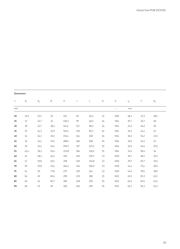**Dimensions** d  $A_1$   $A_2$  B H J L N G  $s_1$  T  $A_5$ mm  $-$  mm 25,5 11,1 31 113 90 60,3 12 M10 18,3 33,3 18,5 27 12,7 34 130,2 99 68,3 16 M14 19,7 35,7 18 30 12,7 38,1 147,6 117 80,2 16 M14 22,2 40,2 20 32 14,3 42,9 161,1 130 89,7 16 M14 25,4 44,4 22 34 14,3 49,2 174,6 144 100 16 M14 30,2 51,2 23,5 35 15,1 49,2 188,1 148 108 19 M16 30,2 52,2 23 39 15,1 51,6 196,9 157 115,1 19 M16 32,6 54,6 29,5 41,4 18,3 55,6 223,8 184 130,2 19 M16 33,4 58,4 34 45 18,3 65,1 250 202 139,7 23 M20 39,7 68,7 35,5 47 19,8 65,1 258 210 154,8 23 M20 39,7 69,7 35,5 50 19,8 74,6 265,1 216 160,3 23 M20 44,4 75,4 38,5 54 20 77,8 275 225 164 23 M20 44,5 78,5 38,5 56 20 82,6 290 233 180 25 M22 49,3 83,3 41,5 60 22 85,7 305 248 190 25 M22 51,6 87,6 43,2 68 23 96 320 265 205 25 M22 56,3 96,3 45,3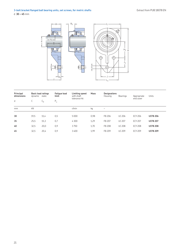

| Principal<br>dimensions | <b>Basic load ratings</b><br>dynamic static |              | <b>Fatigue load</b><br>limit | Limiting speed<br>with shaft<br>tolerance h6 |      | <b>Designations</b><br>Housing | <b>Bearings</b> | Appropriate<br>end cover | <b>Units</b>    |
|-------------------------|---------------------------------------------|--------------|------------------------------|----------------------------------------------|------|--------------------------------|-----------------|--------------------------|-----------------|
| d                       | U                                           | $\sim$<br>ιo | $P_{u}$                      |                                              |      |                                |                 |                          |                 |
| mm                      | kN                                          |              |                              | r/min                                        | kg   | $\qquad \qquad -$              |                 |                          |                 |
| 30                      | 19,5                                        | 11,4         | 0,5                          | 5000                                         | 0,98 | FB 206                         | <b>UC 206</b>   | <b>ECY 206</b>           | <b>UCFB 206</b> |
| 35                      | 25,5                                        | 15,3         | 0,7                          | 4300                                         | 1,29 | FB 207                         | <b>UC 207</b>   | <b>ECY 207</b>           | <b>UCFB 207</b> |
| 40                      | 32,5                                        | 20,0         | 0,9                          | 3750                                         | 1,70 | <b>FB 208</b>                  | <b>UC 208</b>   | <b>ECY 208</b>           | <b>UCFB 208</b> |
| 45                      | 32,5                                        | 20.4         | 0,9                          | 3400                                         | 1,99 | FB 209                         | <b>UC 209</b>   | <b>ECY 209</b>           | <b>UCFB 209</b> |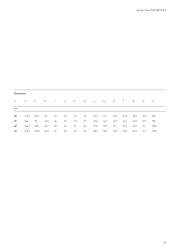| <b>Dimensions</b> |       |       |      |    |       |     |       |       |       |                |      |      |       |                |
|-------------------|-------|-------|------|----|-------|-----|-------|-------|-------|----------------|------|------|-------|----------------|
| d                 | H     | L.    | А    | J  | $J_1$ | N   | $H_1$ | $L_1$ | $A_1$ | A <sub>5</sub> | T.   | B    | $S_1$ | G              |
| mm                |       |       |      |    |       |     |       |       |       |                |      |      |       |                |
| 30                | 136,5 | 82,6  | 30   | 40 | 29    | 9,5 | 50    | 69,9  | 9,5   | 22,5           | 40,9 | 38,1 | 15,9  | M <sub>8</sub> |
| 35                | 144   | 90    | 33,5 | 46 | 32    | 9,5 | 55    | 82,6  | 12,7  | 24,5           | 44,4 | 42,9 | 17,5  | M8             |
| 40                | 164,3 | 100   | 35,7 | 50 | 41    | 11  | 60    | 77,8  | 15,9  | 26             | 51,2 | 49,2 | 19    | M10            |
| 45                | 175,5 | 106,4 | 36,8 | 54 | 43    | 11  | 65    | 80,2  | 18,3  | 26,5           | 50,2 | 49,2 | 19    | M10            |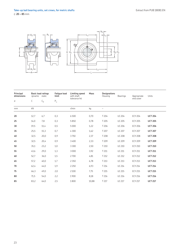

| Principal<br>dimensions | <b>Basic load ratings</b><br>dynamic static |       | <b>Fatigue load</b><br>limit | <b>Limiting speed</b><br>with shaft<br>tolerance h6 | Mass  | <b>Designations</b><br>Housing | <b>Bearings</b> | Appropriate<br>end cover | Units          |
|-------------------------|---------------------------------------------|-------|------------------------------|-----------------------------------------------------|-------|--------------------------------|-----------------|--------------------------|----------------|
| d                       | С                                           | $C_0$ | $\mathsf{P}_\mathsf{u}$      |                                                     |       |                                |                 |                          |                |
| mm                      | kN                                          |       |                              | r/min                                               | kg    |                                |                 |                          |                |
| 20                      | 12,7                                        | 6,7   | 0,3                          | 6500                                                | 0.70  | T 204                          | <b>UC 204</b>   | <b>ECY 204</b>           | <b>UCT 204</b> |
| 25                      | 14,0                                        | 7,8   | 0,3                          | 5850                                                | 0,78  | T 205                          | <b>UC 205</b>   | <b>ECY 205</b>           | <b>UCT 205</b> |
| 30                      | 19,5                                        | 11,4  | 0,5                          | 5000                                                | 1,22  | T 206                          | <b>UC 206</b>   | <b>ECY 206</b>           | <b>UCT 206</b> |
| 35                      | 25,5                                        | 15,3  | 0,7                          | 4 3 0 0                                             | 1,62  | T 207                          | <b>UC 207</b>   | <b>ECY 207</b>           | <b>UCT 207</b> |
| 40                      | 32,5                                        | 20,0  | 0,9                          | 3750                                                | 2,37  | T 208                          | <b>UC 208</b>   | <b>ECY 208</b>           | <b>UCT 208</b> |
| 45                      | 32,5                                        | 20,4  | 0,9                          | 3400                                                | 2,33  | T 209                          | <b>UC 209</b>   | <b>ECY 209</b>           | <b>UCT 209</b> |
| 50                      | 35,1                                        | 23,2  | 1,0                          | 3 3 0 0                                             | 2,50  | T 210                          | <b>UC 210</b>   | <b>ECY 210</b>           | <b>UCT 210</b> |
| 55                      | 43,6                                        | 29,0  | 1,3                          | 3000                                                | 3,92  | T 211                          | <b>UC 211</b>   | <b>ECY 211</b>           | <b>UCT 211</b> |
| 60                      | 52,7                                        | 36,0  | 1,5                          | 2700                                                | 4,81  | T 212                          | <b>UC 212</b>   | <b>ECY 212</b>           | <b>UCT 212</b> |
| 65                      | 57,2                                        | 40,0  | 1,7                          | 2 3 5 0                                             | 6,78  | T 213                          | <b>UC 213</b>   | <b>ECY 213</b>           | <b>UCT 213</b> |
| 70                      | 62,4                                        | 44,0  | 1,9                          | 2 2 5 0                                             | 6,93  | T 214                          | <b>UC 214</b>   | <b>ECY 214</b>           | <b>UCT 214</b> |
| 75                      | 66,3                                        | 49,0  | 2,0                          | 2100                                                | 7,75  | T 215                          | <b>UC 215</b>   | <b>ECY 215</b>           | <b>UCT 215</b> |
| 80                      | 71,5                                        | 54,0  | 2,2                          | 1900                                                | 8,18  | T 216                          | <b>UC 216</b>   | <b>ECY 216</b>           | <b>UCT 216</b> |
| 85                      | 83,2                                        | 64,0  | 2,5                          | 1800                                                | 10,88 | T 217                          | <b>UC 217</b>   | <b>ECY 217</b>           | <b>UCT 217</b> |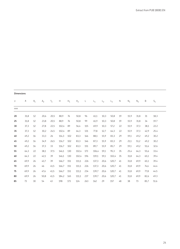| <b>Dimensions</b> |      |                |                |         |       |       |                |     |       |                |       |    |       |                |      |       |
|-------------------|------|----------------|----------------|---------|-------|-------|----------------|-----|-------|----------------|-------|----|-------|----------------|------|-------|
| d                 | Α    | A <sub>1</sub> | A <sub>2</sub> | $A_{5}$ | Н     | $H_1$ | H <sub>2</sub> | L   | $L_1$ | L <sub>2</sub> | $L_3$ | N  | $N_1$ | N <sub>2</sub> | B    | $S_1$ |
| mm                |      |                |                |         |       |       |                |     |       |                |       |    |       |                |      |       |
| 20                | 31,8 | 12             | 20,6           | 20,5    | 88,9  | 76    | 50,8           | 96  | 61,1  | 10,3           | 50,8  | 19 | 15,9  | 31,8           | 31   | 18,3  |
| 25                | 31,8 | 12             | 23,8           | 20,5    | 88,9  | 76    | 50,8           | 99  | 61,9  | 10,3           | 50,8  | 19 | 15,9  | 31,8           | 34   | 19.7  |
| 30                | 37,3 | 12             | 27,8           | 22,5    | 102,4 | 89    | 56,4           | 115 | 69,9  | 10,3           | 57,2  | 22 | 15,9  | 37,3           | 38,1 | 22.2  |
| 35                | 37,3 | 12             | 30,2           | 24,5    | 102,4 | 89    | 64,3           | 131 | 77,8  | 12,7           | 64,3  | 22 | 15,9  | 37,3           | 42,9 | 25.4  |
| 40                | 49,2 | 16             | 33,3           | 26      | 114,3 | 102   | 83,3           | 146 | 88,1  | 15,9           | 83,3  | 29 | 19,1  | 49,2           | 49,2 | 30.2  |
| 45                | 49,2 | 16             | 34,9           | 26,5    | 116,7 | 102   | 83,3           | 146 | 87,3  | 15,9           | 83,3  | 29 | 21,1  | 51,2           | 49,2 | 30.2  |
| 50                | 49,2 | 16             | 37,3           | 33      | 116,7 | 102   | 83,3           | 151 | 89,7  | 15,9           | 85,7  | 29 | 19,1  | 49,2           | 51,6 | 32.6  |
| 55                | 64,3 | 22             | 38,1           | 37,5    | 146,1 | 130   | 102,4          | 173 | 106,4 | 19,1           | 95,3  | 35 | 25,4  | 64,3           | 55,6 | 33.4  |
| 60                | 64,3 | 22             | 42,1           | 39      | 146,1 | 130   | 102,4          | 196 | 119,1 | 19,1           | 102,4 | 35 | 31,8  | 64,3           | 65,1 | 39.4  |
| 65                | 69,9 | 26             | 43,7           | 39      | 166,7 | 151   | 111,1          | 226 | 137,3 | 20,6           | 120,7 | 41 | 31,8  | 69,9           | 65,1 | 39.4  |
| 70                | 69,9 | 26             | 46             | 41,5    | 166,7 | 151   | 111,1          | 226 | 137,3 | 20,6           | 120,7 | 41 | 31,8  | 69,9           | 74,6 | 44.4  |
| 75                | 69,9 | 26             | 47,6           | 41,5    | 166,7 | 151   | 111,1          | 234 | 139,7 | 20,6           | 120,7 | 41 | 31,8  | 69,9           | 77,8 | 44.5  |
| 80                | 69,9 | 26             | 50,8           | 41,5    | 184,2 | 165   | 111,1          | 237 | 139,7 | 20,6           | 120,7 | 41 | 31,8  | 69,9           | 82,6 | 49.3  |
| 85                | 73   | 30             | 54             | 43      | 198   | 173   | 124            | 263 | 162   | 29             | 157   | 48 | 38    | 73             | 85,7 | 51.6  |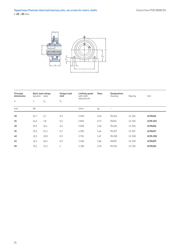

| Principal<br>dimensions<br>d | <b>Basic load ratings</b><br>dynamic static<br>C | $C_0$ | <b>Fatique load</b><br>limit<br>$P_u$ | Limiting speed<br>with shaft<br>tolerance h6 | Mass | <b>Designations</b><br>Housing | Bearing       | Unit            |
|------------------------------|--------------------------------------------------|-------|---------------------------------------|----------------------------------------------|------|--------------------------------|---------------|-----------------|
| mm                           | kN                                               |       |                                       | r/min                                        | kg   |                                |               |                 |
| 20                           | 12,7                                             | 6,7   | 0,3                                   | 6500                                         | 0,54 | PA 204                         | <b>UC 204</b> | UCPA204         |
| 25                           | 14,0                                             | 7,8   | 0,3                                   | 5850                                         | 0,77 | PA205                          | <b>UC 205</b> | <b>UCPA 205</b> |
| 30                           | 19,5                                             | 11,4  | 0,5                                   | 5 0 0 0                                      | 1,02 | PA 206                         | <b>UC 206</b> | <b>UCPA206</b>  |
| 35                           | 25,5                                             | 15,3  | 0,7                                   | 4300                                         | 1,46 | PA 207                         | <b>UC 207</b> | <b>UCPA207</b>  |
| 40                           | 32,5                                             | 20,0  | 0,9                                   | 3750                                         | 1,67 | <b>PA 208</b>                  | <b>UC 208</b> | <b>UCPA 208</b> |
| 45                           | 32,5                                             | 20,4  | 0,9                                   | 3400                                         | 1,86 | PA209                          | <b>UC 209</b> | <b>UCPA209</b>  |
| 50                           | 35,1                                             | 23,2  | $\mathbf 1$                           | 3 3 0 0                                      | 2,25 | PA 210                         | <b>UC 210</b> | <b>UCPA210</b>  |